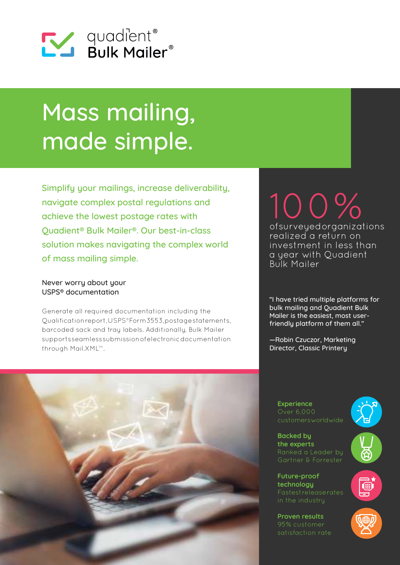

# Mass mailing, made simple.

Simplify your mailings, increase deliverability, navigate complex postal regulations and achieve the lowest postage rates with Quadient® Bulk Mailer®. Our best-in-class solution makes navigating the complex world of mass mailing simple.

# Never worry about your USPS® documentation

Generate all required documentation including the Qualification report, USPS® Form 3553, postage statements, barcoded sack and tray labels. Additionally, Bulk Mailer supports seamless submission of electronic documentation through Mail.XML™.

# 100% of surveyed organizations realized a return on investment in less than a year with Quadient Bulk Mailer

"I have tried multiple platforms for bulk mailing and Quadient Bulk Mailer is the easiest, most userfriendly platform of them all."

—Robin Czuczor, Marketing Director, Classic Printery



**Experience**  Over 6,000 customers worldwide

**Backed by the experts**

Ranked a Leader by Gartner & Forrester

**Future-proof technology** 

**Proven results**  satisfaction rate



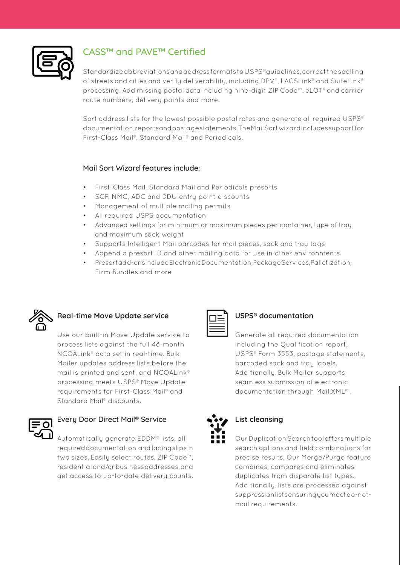

# CASS™ and PAVE™ Certified

Standardize abbreviations and address formats to USPS® guidelines, correct the spelling of streets and cities and verify deliverability, including DPV®, LACSLink® and SuiteLink® processing. Add missing postal data including nine-digit ZIP Code™, eLOT® and carrier route numbers, delivery points and more.

Sort address lists for the lowest possible postal rates and generate all required USPS® documentation, reports and postage statements. The Mail Sort wizard includes support for First-Class Mail®, Standard Mail® and Periodicals.

## Mail Sort Wizard features include:

- First-Class Mail, Standard Mail and Periodicals presorts
- SCF, NMC, ADC and DDU entry point discounts
- Management of multiple mailing permits
- All required USPS documentation
- Advanced settings for minimum or maximum pieces per container, type of tray and maximum sack weight
- Supports Intelligent Mail barcodes for mail pieces, sack and tray tags
- Append a presort ID and other mailing data for use in other environments
- Presort add-ons include Electronic Documentation, Package Services, Palletization, Firm Bundles and more



# **Real-time Move Update service**

Use our built-in Move Update service to process lists against the full 48-month NCOALink® data set in real-time. Bulk Mailer updates address lists before the mail is printed and sent, and NCOALink® processing meets USPS® Move Update requirements for First-Class Mail® and Standard Mail<sup>®</sup> discounts.



# Every Door Direct Mail® Service

Automatically generate EDDM® lists, all required documentation, and facing slips in two sizes. Easily select routes, ZIP Code™, residential and/or business addresses, and get access to up-to-date delivery counts.



# **USPS® documentation**

Generate all required documentation including the Qualification report, USPS® Form 3553, postage statements, barcoded sack and tray labels. Additionally, Bulk Mailer supports seamless submission of electronic documentation through Mail.XML™.



# **List cleansing**

Our Duplication Search tool offers multiple search options and field combinations for precise results. Our Merge/Purge feature combines, compares and eliminates duplicates from disparate list types. Additionally, lists are processed against suppression lists ensuring you meet do-notmail requirements.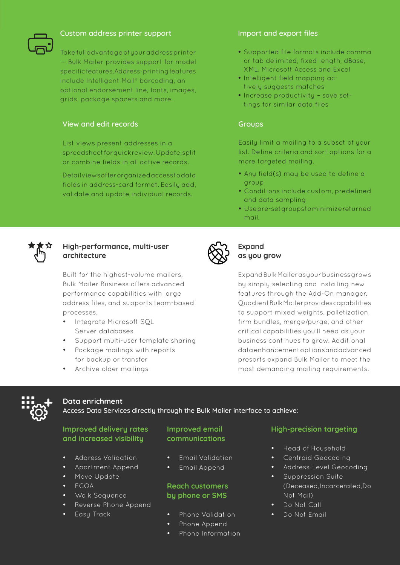

## Custom address printer support

Take full advantage of your address printer — Bulk Mailer provides support for model specific features. Address-printing features include Intelligent Mail® barcoding, an optional endorsement line, fonts, images, grids, package spacers and more.

### View and edit records

List views present addresses in a spreadsheet for quick review. Update, split or combine fields in all active records.

Detail views offer organized access to data fields in address-card format. Easily add, validate and update individual records.

#### Import and export files

- • Supported file formats include comma or tab delimited, fixed length, dBase, XML, Microsoft Access and Excel
- Intelligent field mapping actively suggests matches
- Increase productivity save settings for similar data files

#### **Groups**

Easily limit a mailing to a subset of your list. Define criteria and sort options for a more targeted mailing.

- Any field(s) may be used to define a group
- • Conditions include custom, predefined and data sampling
- Usepre-set groups to minimize returned mail.



## **High-performance, multi-user architecture**

Built for the highest-volume mailers, Bulk Mailer Business offers advanced performance capabilities with large address files, and supports team-based processes.

- Integrate Microsoft SOL Server databases
- Support multi-user template sharing
- Package mailings with reports for backup or transfer
- Archive older mailings



# **Expand as you grow**

Expand Bulk Mailer as your business grows by simply selecting and installing new features through the Add-On manager. Quadient Bulk Mailer provides capabilities to support mixed weights, palletization, firm bundles, merge/purge, and other critical capabilities you'll need as your business continues to grow. Additional data enhancement options and advanced presorts expand Bulk Mailer to meet the most demanding mailing requirements.



#### **Data enrichment**

Access Data Services directly through the Bulk Mailer interface to achieve:

# **Improved delivery rates and increased visibility**

- Address Validation
- Apartment Append
- Move Update
- **ECOA**
- Walk Sequence
- Reverse Phone Append
- Easy Track

## **Improved email communications**

- **Email Validation**
- **Email Append**

## **Reach customers by phone or SMS**

- Phone Validation
- • Phone Append
- Phone Information

## **High-precision targeting**

- Head of Household
- Centroid Geocoding
- Address-Level Geocoding
- Suppression Suite (Deceased, Incarcerated, Do Not Mail)
- Do Not Call
- Do Not Email